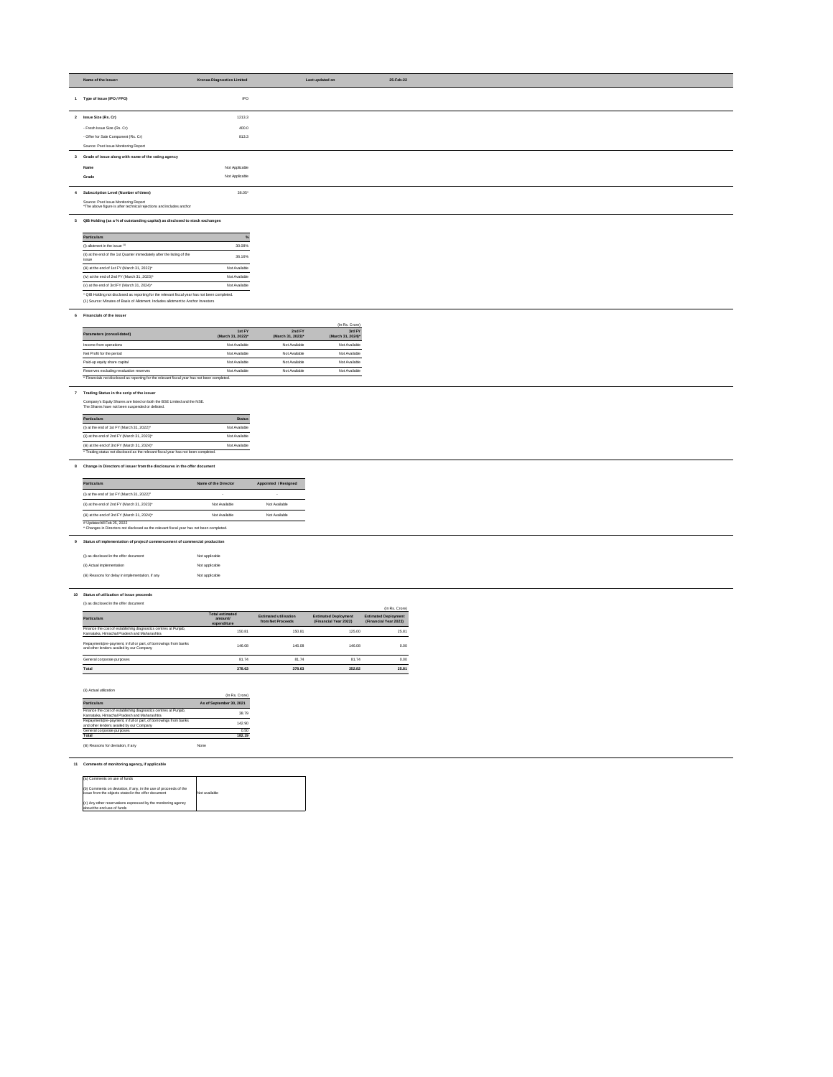| Name of the Issuer:                                                                                         | <b>Krsnaa Diagnostics Limited</b> | Last updated on | 25-Feb-22 |
|-------------------------------------------------------------------------------------------------------------|-----------------------------------|-----------------|-----------|
| 1 Type of Issue (IPO / FPO)                                                                                 | <b>IPO</b>                        |                 |           |
| 2 Issue Size (Rs. Cr)                                                                                       | 1213.3                            |                 |           |
| - Fresh Issue Size (Rs. Cr)                                                                                 | 400.0                             |                 |           |
| - Offer for Sale Component (Rs. Cr)                                                                         | 813.3                             |                 |           |
| Source: Post Issue Monitoring Report                                                                        |                                   |                 |           |
| 3 Grade of issue along with name of the rating agency                                                       |                                   |                 |           |
| Name                                                                                                        | Not Applicable                    |                 |           |
| Grade                                                                                                       | Not Applicable                    |                 |           |
| 4 Subscription Level (Number of times)                                                                      | $36.05*$                          |                 |           |
| Source: Post Issue Monitoring Report<br>*The above figure is after technical rejections and includes anchor |                                   |                 |           |
| 5 QIB Holding (as a % of outstanding capital) as disclosed to stock exchanges                               |                                   |                 |           |

| <b>Particulars</b>                                                               | $\%$          |
|----------------------------------------------------------------------------------|---------------|
| (i) allotment in the issue $(1)$                                                 | 30.08%        |
| (ii) at the end of the 1st Quarter immediately after the listing of the<br>issue | 36.16%        |
| (iii) at the end of 1st FY (March 31, 2022)*                                     | Not Available |
| (iv) at the end of 2nd FY (March 31, 2023)*                                      | Not Available |
| (v) at the end of 3rd FY (March 31, 2024)*                                       | Not Available |

(1) Source: Minutes of Basis of Allotment. Includes allotment to Anchor Investors

### **6 Financials of the issuer**

|                                                                                              |                             |                             | (In Rs. Crore)              |
|----------------------------------------------------------------------------------------------|-----------------------------|-----------------------------|-----------------------------|
| Parameters (consolidated)                                                                    | 1st FY<br>(March 31, 2022)* | 2nd FY<br>(March 31, 2023)* | 3rd FY<br>(March 31, 2024)* |
| Income from operations                                                                       | Not Available               | Not Available               | Not Available               |
| Net Profit for the period                                                                    | Not Available               | Not Available               | Not Available               |
| Paid-up equity share capital                                                                 | Not Available               | Not Available               | Not Available               |
| Reserves excluding revaluation reserves                                                      | Not Available               | Not Available               | Not Available               |
| * Financials not disclosed as reporting for the relevant fiscal year has not been completed. |                             |                             |                             |

## **7 Trading Status in the scrip of the issuer**

Company's Equity Shares are listed on both the BSE Limited and the NSE. The Shares have not been suspended or delisted.

| <b>Particulars</b>                           | <b>Status</b> |
|----------------------------------------------|---------------|
| (i) at the end of 1st FY (March 31, 2022)*   | Not Available |
| (ii) at the end of 2nd FY (March 31, 2023)*  | Not Available |
| (iii) at the end of 3rd FY (March 31, 2024)* | Not Available |

# **8 Change in Directors of issuer from the disclosures in the offer document**

| <b>Particulars</b>                                                                                                      | Name of the Director | Appointed / Resigned |
|-------------------------------------------------------------------------------------------------------------------------|----------------------|----------------------|
| (i) at the end of 1st FY (March 31, 2022) <sup>#</sup>                                                                  |                      |                      |
| (ii) at the end of 2nd FY (March 31, 2023)*                                                                             | Not Available        | Not Available        |
| (iii) at the end of 3rd FY (March 31, 2024)*                                                                            | Not Available        | Not Available        |
| # Updated till Feb 25, 2022<br>* Changes in Directors not disclosed as the relevant fiscal year has not been completed. |                      |                      |

## **9 Status of implementation of project/ commencement of commercial production**

| (i) as disclosed in the offer document            | Not applicable |
|---------------------------------------------------|----------------|
| (ii) Actual implementation                        | Not applicable |
| (iii) Reasons for delay in implementation, if any | Not applicable |

## **10 Status of utilization of issue proceeds**

### (i) as disclosed in the offer document

| $\sim$                                                                                                         |                                                  |                                                   |                                                      | (In Rs. Crore)                                       |  |
|----------------------------------------------------------------------------------------------------------------|--------------------------------------------------|---------------------------------------------------|------------------------------------------------------|------------------------------------------------------|--|
| <b>Particulars</b>                                                                                             | <b>Total estimated</b><br>amount/<br>expenditure | <b>Estimated utilisation</b><br>from Net Proceeds | <b>Estimated Deployment</b><br>(Financial Year 2022) | <b>Estimated Deployment</b><br>(Financial Year 2023) |  |
| Finance the cost of establishing diagnostics centres at Punjab,<br>Karnataka, Himachal Pradesh and Maharashtra | 150.81                                           | 150.81                                            | 125.00                                               | 25.81                                                |  |
| Repayment/pre-payment, in full or part, of borrowings from banks<br>and other lenders availed by our Company   | 146.08                                           | 146.08                                            | 146.08                                               | 0.00                                                 |  |
| General corporate purposes                                                                                     | 81.74                                            | 81.74                                             | 81.74                                                | 0.00                                                 |  |
| Total                                                                                                          | 378.63                                           | 378.63                                            | 352.82                                               | 25.81                                                |  |

#### (ii) Actual utilization

| <b>III</b> AGUAI UUILAUUIT                                                                                     | (In Rs. Crore)           |
|----------------------------------------------------------------------------------------------------------------|--------------------------|
| <b>Particulars</b>                                                                                             | As of September 30, 2021 |
| Finance the cost of establishing diagnostics centres at Punjab,<br>Karnataka, Himachal Pradesh and Maharashtra | 38.79                    |
| Repayment/pre-payment, in full or part, of borrowings from banks<br>and other lenders availed by our Company   | 142.90                   |
| General corporate purposes                                                                                     | 0.50                     |
| <b>Total</b>                                                                                                   | 182.19                   |
| (iii) Reasons for deviation, if any                                                                            | None                     |

### **11 Comments of monitoring agency, if applicable**

| (a) Comments on use of funds                                                                                              |               |
|---------------------------------------------------------------------------------------------------------------------------|---------------|
| (b) Comments on deviation, if any, in the use of proceeds of the<br>I issue from the objects stated in the offer document | Not available |
| $(c)$ Any other reservations expressed by the monitoring agency<br>labout the end use of funds                            |               |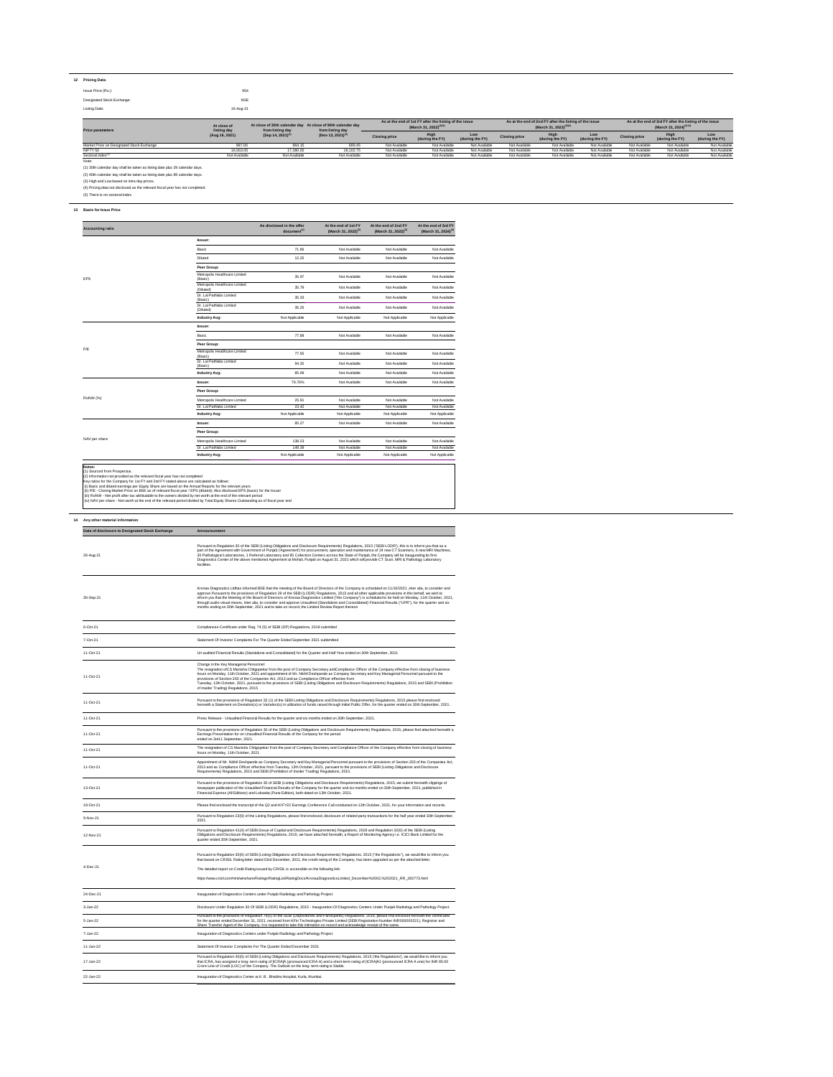| 12 | <b>Pricing Data</b>        |            |
|----|----------------------------|------------|
|    | Issue Price (Rs.):         | 954        |
|    | Designated Stock Exchange: | <b>NSE</b> |
|    | Listing Date:              | 16-Aug-21  |

(1) 30th calendar day shall be taken as listing date plus 29 calendar days.

(2) 90th calendar day shall be taken as listing date plus 89 calendar days.

(3) High and Low based on intra day prices.

(4) Pricing data not disclosed as the relevant fiscal year has not completed.

(5) There is no sectoral index

### **13 Basis for Issue Price**

## **Peer Group:**

|               | Industry Avg:                 | Not Applicable | Not Applicable | Not Applicable | Not Applicable |
|---------------|-------------------------------|----------------|----------------|----------------|----------------|
|               | Dr. Lal Pathlabs Limited      | 149.39         | Not Available  | Not Available  | Not Available  |
| NAV per share | Metropolis Healthcare Limited | 138.23         | Not Available  | Not Available  | Not Available  |
|               |                               |                |                |                |                |

| <b>Price parameters</b>                   | At close of 30th calendar day At close of 90th calendar day<br>At close of<br>from listing day<br>from listing day |                                                                |                      | As at the end of 1st FY after the listing of the issue<br>(March 31, 2022) <sup>(3)(4)</sup> |                        | As at the end of 2nd FY after the listing of the issue<br>(March 31, 2023) <sup>(3)(4)</sup> |                                |                        | As at the end of 3rd FY after the listing of the issue<br>(March 31, 2024) <sup>(3) (4)</sup> |                         |                        |               |
|-------------------------------------------|--------------------------------------------------------------------------------------------------------------------|----------------------------------------------------------------|----------------------|----------------------------------------------------------------------------------------------|------------------------|----------------------------------------------------------------------------------------------|--------------------------------|------------------------|-----------------------------------------------------------------------------------------------|-------------------------|------------------------|---------------|
|                                           | listing day<br>(Aug 16, 2021)                                                                                      | (Nov 13, 2021) <sup>(2)</sup><br>(Sep 14, 2021) <sup>(1)</sup> | <b>Closing price</b> | High<br>(during the FY)                                                                      | Low<br>(during the FY) | <b>Closing price</b>                                                                         | <b>High</b><br>(during the FY) | Low<br>(during the FY) | <b>Closing price</b>                                                                          | High<br>(during the FY) | Low<br>(during the FY) |               |
| Market Price on Designated Stock Exchange | 987.00                                                                                                             | 864.15                                                         | 689.45               | Not Available                                                                                | Not Available          | Not Available                                                                                | Not Available                  | Not Available          | Not Available                                                                                 | Not Available           | Not Available          | Not Available |
| NIFTY 50                                  | 16.563.05                                                                                                          | 17,380.00                                                      | 18.102.75            | Not Available                                                                                | Not Available          | Not Available                                                                                | Not Available                  | Not Available          | Not Available                                                                                 | Not Available           | Not Available          | Not Available |
| Sectoral index(5)                         | Not Available                                                                                                      | Not Available                                                  | Not Available        | Not Available                                                                                | Not Available          | Not Available                                                                                | Not Available                  | Not Available          | Not Available                                                                                 | Not Available           | Not Available          | Not Available |
| Note:                                     |                                                                                                                    |                                                                |                      |                                                                                              |                        |                                                                                              |                                |                        |                                                                                               |                         |                        |               |

# **14 Any other material information**

| <b>Accounting ratio</b> |                                            | As disclosed in the offer<br>document <sup>(1)</sup> | At the end of 1st FY<br>(March 31, 2022) <sup>(2)</sup> | At the end of 2nd FY<br>(March 31, 2023) <sup>(2)</sup> | At the end of 3rd FY<br>(March 31, 2024) <sup>(2)</sup> |
|-------------------------|--------------------------------------------|------------------------------------------------------|---------------------------------------------------------|---------------------------------------------------------|---------------------------------------------------------|
|                         | <b>Issuer:</b>                             |                                                      |                                                         |                                                         |                                                         |
|                         | Basic                                      | 71.86                                                | Not Available                                           | Not Available                                           | Not Available                                           |
|                         | <b>Diluted</b>                             | 12,25                                                | Not Available                                           | Not Available                                           | Not Available                                           |
|                         | Peer Group:                                |                                                      |                                                         |                                                         |                                                         |
| <b>EPS</b>              | Metropolis Healthcare Limited<br>(Basic)   | 35.97                                                | Not Available                                           | Not Available                                           | Not Available                                           |
|                         | Metropolis Healthcare Limited<br>(Diluted) | 35.79                                                | Not Available                                           | Not Available                                           | Not Available                                           |
|                         | Dr. Lal Pathlabs Limited<br>(Basic)        | 35.33                                                | Not Available                                           | Not Available                                           | Not Available                                           |
|                         | Dr. Lal Pathlabs Limited<br>(Diluted)      | 35.25                                                | Not Available                                           | Not Available                                           | Not Available                                           |
|                         | <b>Industry Avg:</b>                       | Not Applicable                                       | Not Applicable                                          | Not Applicable                                          | Not Applicable                                          |
| P/E                     | <b>Issuer:</b>                             |                                                      |                                                         |                                                         |                                                         |
|                         | Basic                                      | 77.88                                                | Not Available                                           | Not Available                                           | Not Available                                           |
|                         | Peer Group:                                |                                                      |                                                         |                                                         |                                                         |
|                         | Metropolis Healthcare Limited<br>(Basic)   | 77.65                                                | Not Available                                           | Not Available                                           | Not Available                                           |
|                         | Dr. Lal Pathlabs Limited<br>(Basic)        | 94.32                                                | Not Available                                           | Not Available                                           | Not Available                                           |
|                         | <b>Industry Avg:</b>                       | 85.99                                                | Not Available                                           | Not Available                                           | Not Available                                           |
| RoNW (%)                | <b>Issuer:</b>                             | 79.76%                                               | Not Available                                           | Not Available                                           | Not Available                                           |
|                         | Peer Group:                                |                                                      |                                                         |                                                         |                                                         |
|                         | Metropolis Healthcare Limited              | 25.91                                                | Not Available                                           | Not Available                                           | Not Available                                           |
|                         | Dr. Lal Pathlabs Limited                   | 23.42                                                | Not Available                                           | Not Available                                           | Not Available                                           |
|                         | <b>Industry Avg:</b>                       | Not Applicable                                       | Not Applicable                                          | Not Applicable                                          | Not Applicable                                          |
|                         | <b>Issuer:</b>                             | 85.27                                                | Not Available                                           | Not Available                                           | Not Available                                           |

#### **Notes:** (1) Sourced from Prospectus.

- (2) Information not provided as the relevant fiscal year has not completed
- Key ratios for the Company for 1st FY and 2nd FY stated above are calculated as follows:
- (i) Basic and diluted earnings per Equity Share are based on the Annual Reports for the relevant years
- (ii) P/E Closing Market Price on BSE as of relevant fiscal year / EPS (diluted); Also disclosed EPS (basic) for the Issuer
- (iii) RoNW Net profit after tax attributable to the owners divided by net worth at the end of the relevant period (iv) NAV per share - Net worth at the end of the relevant period divided by Total Equity Shares Outstanding as of fiscal year end

| Date of disclosure to Designated Stock Exchange | Announcement                                                                                                                                                                                                                                                                                                                                                                                                                                                                                                                                                                                                                                                                                                                                       |  |  |
|-------------------------------------------------|----------------------------------------------------------------------------------------------------------------------------------------------------------------------------------------------------------------------------------------------------------------------------------------------------------------------------------------------------------------------------------------------------------------------------------------------------------------------------------------------------------------------------------------------------------------------------------------------------------------------------------------------------------------------------------------------------------------------------------------------------|--|--|
| 26-Aug-21                                       | Pursuant to Regulation 30 of the SEBI (Listing Obligations and Disclosure Requirements) Regulations, 2015 ('SEBI LODR'), this is to inform you that as a<br>part of the Agreement with Government of Punjab ('Agreement') for procurement, operation and maintenance of 24 new CT Scanners, 6 new MRI Machines,<br>30 Pathological Laboratories, 1 Referral Laboratory and 95 Collection Centers across the State of Punjab, the Company will be inaugurating its first<br>Diagnostics Center of the above mentioned Agreement at Mohali, Punjab on August 31, 2021 which will provide CT Scan, MRI & Pathology Laboratory<br>facilities.                                                                                                          |  |  |
| 30-Sep-21                                       | Krsnaa Diagnostics Ltdhas informed BSE that the meeting of the Board of Directors of the Company is scheduled on 11/10/2021 , inter alia, to consider and<br>approve Pursuant to the provisions of Regulation 29 of the SEBI (LODR) Regulations, 2015 and all other applicable provisions in this behalf, we wish to<br>inform you that the Meeting of the Board of Directors of Krsnaa Diagnostics Limited ("the Company") is scheduled to be held on Monday, 11th October, 2021,<br>through audio-visual means, inter alia, to consider and approve Unaudited (Standalone and Consolidated) Financial Results ("UFR"), for the quarter and six<br>months ending on 30th September, 2021 and to take on record, the Limited Review Report thereon |  |  |
| 6-Oct-21                                        | Compliances-Certificate under Reg. 74 (5) of SEBI (DP) Regulations, 2018 submitted                                                                                                                                                                                                                                                                                                                                                                                                                                                                                                                                                                                                                                                                 |  |  |
| 7-Oct-21                                        | Statement Of Investor Complaints For The Quarter Ended September 2021 subbmitted                                                                                                                                                                                                                                                                                                                                                                                                                                                                                                                                                                                                                                                                   |  |  |
| 11-Oct-21                                       | Un-audited Financial Results (Standalone and Consolidated) for the Quarter and Half Year ended on 30th September, 2021                                                                                                                                                                                                                                                                                                                                                                                                                                                                                                                                                                                                                             |  |  |
| 11-Oct-21                                       | Change in the Key Managerial Personnel:<br>The resignation of CS Manisha Chitgopekar from the post of Company Secretary and Compliance Officer of the Company effective from closing of business<br>hours on Monday, 11th October, 2021 and appointment of Mr. Nikhil Deshpande as Company Secretary and Key Managerial Personnel pursuant to the<br>provisions of Section 203 of the Companies Act, 2013 and as Compliance Officer effective from<br>Tuesday, 12th October, 2021, pursuant to the provisions of SEBI (Listing Obligations and Disclosure Requirements) Regulations, 2015 and SEBI (Prohibition<br>of Insider Trading) Regulations, 2015                                                                                           |  |  |
| 11-Oct-21                                       | Pursuant to the provisions of Regulation 32 (1) of the SEBI Listing Obligations and Disclosure Requirements) Regulations, 2015 please find enclosed<br>herewith a Statement on Deviation(s) or Variation(s) in utilization of funds raised through Initial Public Offer, for the quarter ended on 30th September, 2021.                                                                                                                                                                                                                                                                                                                                                                                                                            |  |  |
| 11-Oct-21                                       | Press Release - Unaudited Financial Results for the quarter and six months ended on 30th September, 2021.                                                                                                                                                                                                                                                                                                                                                                                                                                                                                                                                                                                                                                          |  |  |
| 11-Oct-21                                       | Pursuant to the provisions of Regulation 30 of the SEBI (Listing Obligations and Disclosure Requirements) Regulations, 2015, please find attached herewith a<br>Earnings Presentation for on Unaudited Financial Results of the Company for the period<br>ended on 3ot11 September, 2021.                                                                                                                                                                                                                                                                                                                                                                                                                                                          |  |  |
| 11-Oct-21                                       | The resignation of CS Manisha Chitgopekar from the post of Company Secretary and Compliance Officer of the Company effective from closing of business<br>hours on Monday, 11th October, 2021                                                                                                                                                                                                                                                                                                                                                                                                                                                                                                                                                       |  |  |
| 11-Oct-21                                       | Appointment of Mr. Nikhil Deshpande as Company Secretary and Key Managerial Personnel pursuant to the provisions of Section 203 of the Companies Act,<br>2013 and as Compliance Officer effective from Tuesday, 12th October, 2021, pursuant to the provisions of SEBI (Listing Obligations and Disclosure<br>Requirements) Regulations, 2015 and SEBI (Prohibition of Insider Trading) Regulations, 2015.                                                                                                                                                                                                                                                                                                                                         |  |  |
| 13-Oct-21                                       | Pursuant to the provisions of Regulation 30 of SEBI (Listing Obligations and Disclosure Requirements) Regulations, 2015, we submit herewith clippings of<br>newspaper publication of the Unaudited Financial Results of the Company for the quarter and six months ended on 30th September, 2021, published in<br>Financial Express (All Editions) and Loksatta (Pune Edition), both dated on 13th October, 2021.                                                                                                                                                                                                                                                                                                                                  |  |  |
| 19-Oct-21                                       | Please find enclosed the transcript of the Q2 and HI FY22 Earnings Conference Call conducted on 12th October, 2021, for your information and records.                                                                                                                                                                                                                                                                                                                                                                                                                                                                                                                                                                                              |  |  |
| 9-Nov-21                                        | Pursuant to Regulation 23(9) of the Listing Regulations, please find enclosed, disclosure of related party transactions for the half year ended 30th September,<br>2021.                                                                                                                                                                                                                                                                                                                                                                                                                                                                                                                                                                           |  |  |
| 12-Nov-21                                       | Pursuant to Regulation 41(4) of SEBI (Issue of Capital and Disclosure Requirements) Regulations, 2018 and Regulation 32(6) of the SEBI (Listing<br>Obligations and Disclosure Requirements) Regulations, 2015, we have attached herewith, a Report of Monitoring Agency i.e. ICICI Bank Limited for the<br>quarter ended 30th September, 2021.                                                                                                                                                                                                                                                                                                                                                                                                     |  |  |

|           | T arouarit to requidition objet of OLDI (Libinity Obligations and Disclosure requirements) requiditons, 2019 (The requiditions), We would like to inform you<br>that based on CRISIL Rating letter dated 03rd December, 2021, the credit rating of the Company, has been upgraded as per the attached letter.                                                                                                                                  |  |  |  |
|-----------|------------------------------------------------------------------------------------------------------------------------------------------------------------------------------------------------------------------------------------------------------------------------------------------------------------------------------------------------------------------------------------------------------------------------------------------------|--|--|--|
| 4-Dec-21  | The detailed report on Credit Rating issued by CRISIL is accessible on the following link:                                                                                                                                                                                                                                                                                                                                                     |  |  |  |
|           | https://www.crisil.com/mnt/winshare/Ratings/RatingList/RatingDocs/KrsnaaDiagnosticsLimited_December%2002,%202021_RR_282773.html                                                                                                                                                                                                                                                                                                                |  |  |  |
| 24-Dec-21 | Inauguration of Diagnostics Centers under Punjab Radiology and Pathology Project.                                                                                                                                                                                                                                                                                                                                                              |  |  |  |
| 3-Jan-22  | Disclosure Under Regulation 30 Of SEBI (LODR) Regulations, 2015 - Inauguration Of Diagnostics Centers Under Punjab Radiology and Pathology Project.                                                                                                                                                                                                                                                                                            |  |  |  |
| 5-Jan-22  | Pursuant to the provisions of Regulation 74(5) of the SEBI (Depositories and Participants) Regulations, 2018, please find enclosed herewith the certificates<br>for the quarter ended December 31, 2021, received from KFin Technologies Private Limited (SEBI Registration Number INR000000221), Registrar and<br>Share Transfer Agent of the Company. It is requested to take this intimation on record and acknowledge receipt of the same. |  |  |  |
| 7-Jan-22  | Inauguration of Diagnostics Centers under Punjab Radiology and Pathology Project.                                                                                                                                                                                                                                                                                                                                                              |  |  |  |
| 11-Jan-22 | Statement Of Investor Complaints For The Quarter Ended December 2021                                                                                                                                                                                                                                                                                                                                                                           |  |  |  |
| 17-Jan-22 | Pursuant to Regulation 30(6) of SEBI (Listing Obligations and Disclosure Requirements) Regulations, 2015 ('the Regulations'), we would like to inform you<br>that ICRA, has assigned a long-term rating of [ICRA]A (pronounced ICRAA) and a short-term rating of [ICRA]A1 (pronounced ICRA A one) for INR 85.00<br>Crore Line of Credit (LOC) of the Company. The Outlook on the long-term rating is Stable.                                   |  |  |  |
| 22-Jan-22 | Inauguration of Diagnostics Center at K. B. Bhabha Hospital, Kurla, Mumbai.                                                                                                                                                                                                                                                                                                                                                                    |  |  |  |